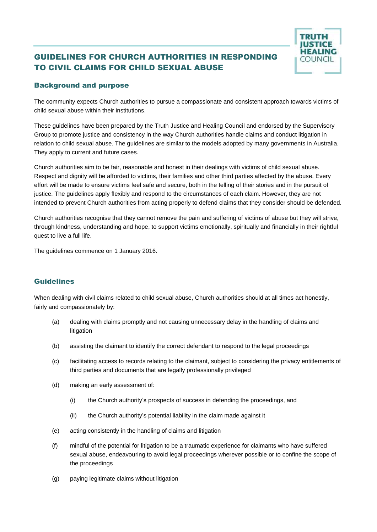## GUIDELINES FOR CHURCH AUTHORITIES IN RESPONDING TO CIVIL CLAIMS FOR CHILD SEXUAL ABUSE



## Background and purpose

The community expects Church authorities to pursue a compassionate and consistent approach towards victims of child sexual abuse within their institutions.

These guidelines have been prepared by the Truth Justice and Healing Council and endorsed by the Supervisory Group to promote justice and consistency in the way Church authorities handle claims and conduct litigation in relation to child sexual abuse. The guidelines are similar to the models adopted by many governments in Australia. They apply to current and future cases.

Church authorities aim to be fair, reasonable and honest in their dealings with victims of child sexual abuse. Respect and dignity will be afforded to victims, their families and other third parties affected by the abuse. Every effort will be made to ensure victims feel safe and secure, both in the telling of their stories and in the pursuit of justice. The guidelines apply flexibly and respond to the circumstances of each claim. However, they are not intended to prevent Church authorities from acting properly to defend claims that they consider should be defended.

Church authorities recognise that they cannot remove the pain and suffering of victims of abuse but they will strive, through kindness, understanding and hope, to support victims emotionally, spiritually and financially in their rightful quest to live a full life.

The guidelines commence on 1 January 2016.

## Guidelines

When dealing with civil claims related to child sexual abuse, Church authorities should at all times act honestly, fairly and compassionately by:

- (a) dealing with claims promptly and not causing unnecessary delay in the handling of claims and litigation
- (b) assisting the claimant to identify the correct defendant to respond to the legal proceedings
- (c) facilitating access to records relating to the claimant, subject to considering the privacy entitlements of third parties and documents that are legally professionally privileged
- (d) making an early assessment of:
	- (i) the Church authority's prospects of success in defending the proceedings, and
	- (ii) the Church authority's potential liability in the claim made against it
- (e) acting consistently in the handling of claims and litigation
- (f) mindful of the potential for litigation to be a traumatic experience for claimants who have suffered sexual abuse, endeavouring to avoid legal proceedings wherever possible or to confine the scope of the proceedings
- (g) paying legitimate claims without litigation